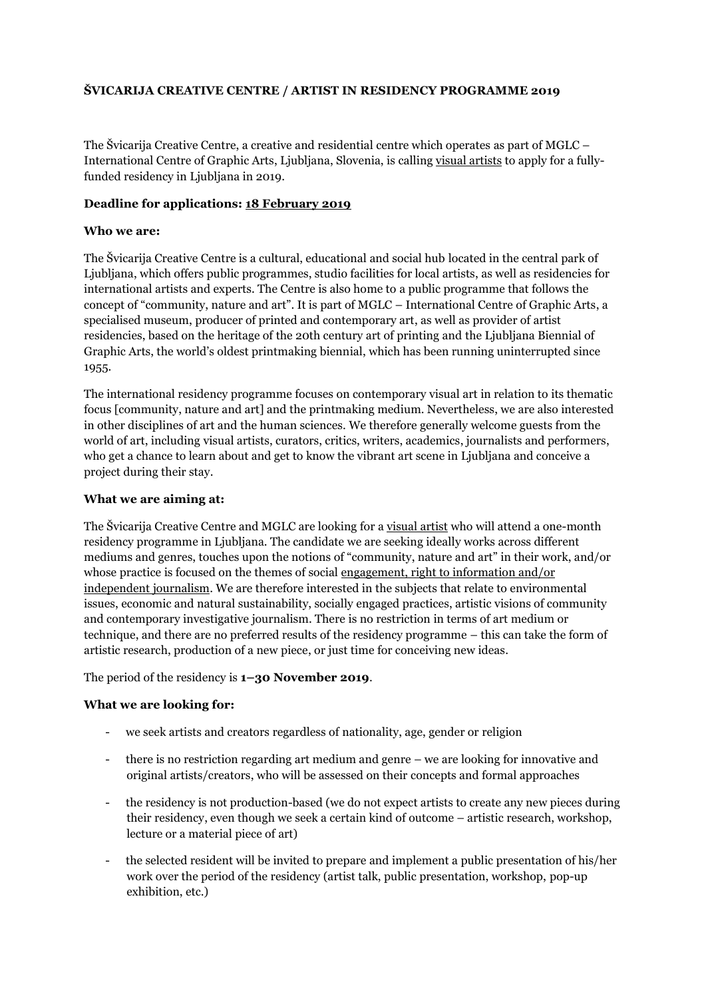# **ŠVICARIJA CREATIVE CENTRE / ARTIST IN RESIDENCY PROGRAMME 2019**

The Švicarija Creative Centre, a creative and residential centre which operates as part of MGLC – International Centre of Graphic Arts, Ljubljana, Slovenia, is calling visual artists to apply for a fullyfunded residency in Ljubljana in 2019.

# **Deadline for applications: 18 February 2019**

# **Who we are:**

The Švicarija Creative Centre is a cultural, educational and social hub located in the central park of Ljubljana, which offers public programmes, studio facilities for local artists, as well as residencies for international artists and experts. The Centre is also home to a public programme that follows the concept of "community, nature and art". It is part of MGLC – International Centre of Graphic Arts, a specialised museum, producer of printed and contemporary art, as well as provider of artist residencies, based on the heritage of the 20th century art of printing and the Ljubljana Biennial of Graphic Arts, the world's oldest printmaking biennial, which has been running uninterrupted since 1955.

The international residency programme focuses on contemporary visual art in relation to its thematic focus [community, nature and art] and the printmaking medium. Nevertheless, we are also interested in other disciplines of art and the human sciences. We therefore generally welcome guests from the world of art, including visual artists, curators, critics, writers, academics, journalists and performers, who get a chance to learn about and get to know the vibrant art scene in Ljubljana and conceive a project during their stay.

### **What we are aiming at:**

The Švicarija Creative Centre and MGLC are looking for a visual artist who will attend a one-month residency programme in Ljubljana. The candidate we are seeking ideally works across different mediums and genres, touches upon the notions of "community, nature and art" in their work, and/or whose practice is focused on the themes of social engagement, right to information and/or independent journalism. We are therefore interested in the subjects that relate to environmental issues, economic and natural sustainability, socially engaged practices, artistic visions of community and contemporary investigative journalism. There is no restriction in terms of art medium or technique, and there are no preferred results of the residency programme – this can take the form of artistic research, production of a new piece, or just time for conceiving new ideas.

The period of the residency is **1–30 November 2019**.

## **What we are looking for:**

- we seek artists and creators regardless of nationality, age, gender or religion
- there is no restriction regarding art medium and genre we are looking for innovative and original artists/creators, who will be assessed on their concepts and formal approaches
- the residency is not production-based (we do not expect artists to create any new pieces during their residency, even though we seek a certain kind of outcome – artistic research, workshop, lecture or a material piece of art)
- the selected resident will be invited to prepare and implement a public presentation of his/her work over the period of the residency (artist talk, public presentation, workshop, pop-up exhibition, etc.)